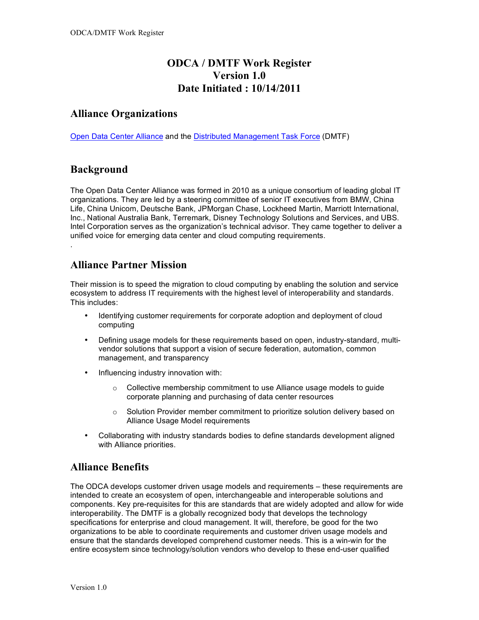# **ODCA / DMTF Work Register Version 1.0 Date Initiated : 10/14/2011**

### **Alliance Organizations**

Open Data Center Alliance and the Distributed Management Task Force (DMTF)

### **Background**

.

The Open Data Center Alliance was formed in 2010 as a unique consortium of leading global IT organizations. They are led by a steering committee of senior IT executives from BMW, China Life, China Unicom, Deutsche Bank, JPMorgan Chase, Lockheed Martin, Marriott International, Inc., National Australia Bank, Terremark, Disney Technology Solutions and Services, and UBS. Intel Corporation serves as the organization's technical advisor. They came together to deliver a unified voice for emerging data center and cloud computing requirements.

#### **Alliance Partner Mission**

Their mission is to speed the migration to cloud computing by enabling the solution and service ecosystem to address IT requirements with the highest level of interoperability and standards. This includes:

- Identifying customer requirements for corporate adoption and deployment of cloud computing
- Defining usage models for these requirements based on open, industry-standard, multivendor solutions that support a vision of secure federation, automation, common management, and transparency
- Influencing industry innovation with:
	- o Collective membership commitment to use Alliance usage models to guide corporate planning and purchasing of data center resources
	- $\circ$  Solution Provider member commitment to prioritize solution delivery based on Alliance Usage Model requirements
- Collaborating with industry standards bodies to define standards development aligned with Alliance priorities.

#### **Alliance Benefits**

The ODCA develops customer driven usage models and requirements – these requirements are intended to create an ecosystem of open, interchangeable and interoperable solutions and components. Key pre-requisites for this are standards that are widely adopted and allow for wide interoperability. The DMTF is a globally recognized body that develops the technology specifications for enterprise and cloud management. It will, therefore, be good for the two organizations to be able to coordinate requirements and customer driven usage models and ensure that the standards developed comprehend customer needs. This is a win-win for the entire ecosystem since technology/solution vendors who develop to these end-user qualified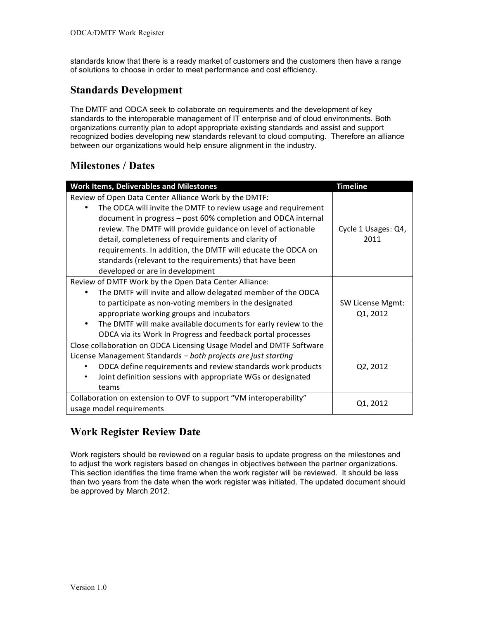standards know that there is a ready market of customers and the customers then have a range of solutions to choose in order to meet performance and cost efficiency.

### **Standards Development**

The DMTF and ODCA seek to collaborate on requirements and the development of key standards to the interoperable management of IT enterprise and of cloud environments. Both organizations currently plan to adopt appropriate existing standards and assist and support recognized bodies developing new standards relevant to cloud computing. Therefore an alliance between our organizations would help ensure alignment in the industry.

## **Milestones / Dates**

| <b>Work Items, Deliverables and Milestones</b>                                                                                                                                                                                                                                                                                                                                                                                                                               | <b>Timeline</b>                     |
|------------------------------------------------------------------------------------------------------------------------------------------------------------------------------------------------------------------------------------------------------------------------------------------------------------------------------------------------------------------------------------------------------------------------------------------------------------------------------|-------------------------------------|
| Review of Open Data Center Alliance Work by the DMTF:<br>The ODCA will invite the DMTF to review usage and requirement<br>document in progress - post 60% completion and ODCA internal<br>review. The DMTF will provide guidance on level of actionable<br>detail, completeness of requirements and clarity of<br>requirements. In addition, the DMTF will educate the ODCA on<br>standards (relevant to the requirements) that have been<br>developed or are in development | Cycle 1 Usages: Q4,<br>2011         |
| Review of DMTF Work by the Open Data Center Alliance:<br>The DMTF will invite and allow delegated member of the ODCA<br>to participate as non-voting members in the designated<br>appropriate working groups and incubators<br>The DMTF will make available documents for early review to the<br>٠<br>ODCA via its Work In Progress and feedback portal processes                                                                                                            | <b>SW License Mgmt:</b><br>Q1, 2012 |
| Close collaboration on ODCA Licensing Usage Model and DMTF Software<br>License Management Standards - both projects are just starting<br>ODCA define requirements and review standards work products<br>Joint definition sessions with appropriate WGs or designated<br>teams                                                                                                                                                                                                | Q2, 2012                            |
| Collaboration on extension to OVF to support "VM interoperability"<br>usage model requirements                                                                                                                                                                                                                                                                                                                                                                               | Q1, 2012                            |

## **Work Register Review Date**

Work registers should be reviewed on a regular basis to update progress on the milestones and to adjust the work registers based on changes in objectives between the partner organizations. This section identifies the time frame when the work register will be reviewed. It should be less than two years from the date when the work register was initiated. The updated document should be approved by March 2012.